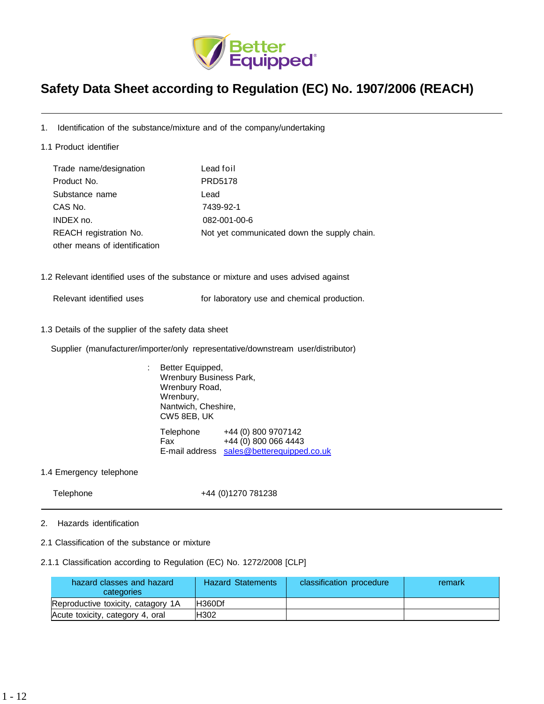

# **Safety Data Sheet according to Regulation (EC) No. 1907/2006 (REACH)**

- 1. Identification of the substance/mixture and of the company/undertaking
- 1.1 Product identifier

| Trade name/designation        | Lead foil                                   |
|-------------------------------|---------------------------------------------|
| Product No.                   | <b>PRD5178</b>                              |
| Substance name                | Lead                                        |
| CAS No.                       | 7439-92-1                                   |
| INDEX no.                     | 082-001-00-6                                |
| REACH registration No.        | Not yet communicated down the supply chain. |
| other means of identification |                                             |

- 1.2 Relevant identified uses of the substance or mixture and uses advised against
	-

Relevant identified uses **For laboratory use and chemical production.** 

1.3 Details of the supplier of the safety data sheet

Supplier (manufacturer/importer/only representative/downstream user/distributor)

- : Better Equipped, Wrenbury Business Park, Wrenbury Road, Wrenbury, Nantwich, Cheshire, CW5 8EB, UK Telephone +44 (0) 800 9707142 Fax +44 (0) 800 066 4443 E-mail address [sales@betterequipped.co.uk](mailto:sales@betterequipped.co.uk)
- 1.4 Emergency telephone

Telephone +44 (0)1270 781238

- 2. Hazards identification
- 2.1 Classification of the substance or mixture

## 2.1.1 Classification according to Regulation (EC) No. 1272/2008 [CLP]

| hazard classes and hazard<br>categories | <b>Hazard Statements</b> | classification procedure | remark |
|-----------------------------------------|--------------------------|--------------------------|--------|
| Reproductive toxicity, catagory 1A      | IH360Df                  |                          |        |
| Acute toxicity, category 4, oral        | <b>H302</b>              |                          |        |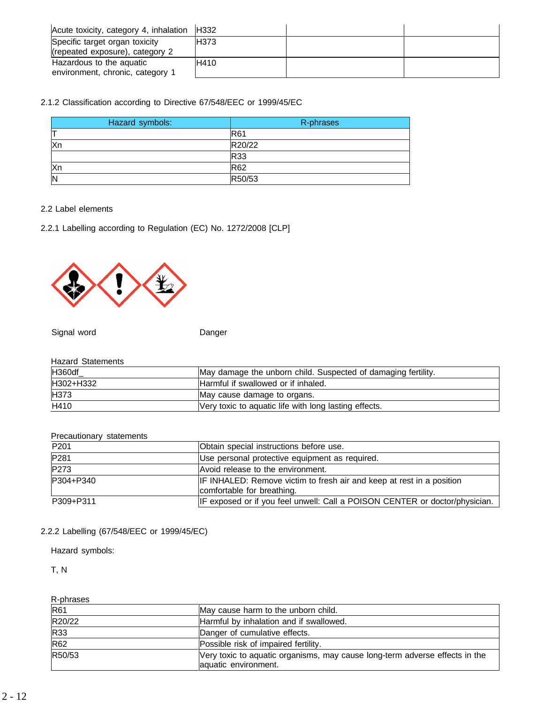| Acute toxicity, category 4, inhalation | <b>H332</b> |  |
|----------------------------------------|-------------|--|
| Specific target organ toxicity         | <b>H373</b> |  |
| (repeated exposure), category 2        |             |  |
| Hazardous to the aguatic               | <b>H410</b> |  |
| environment, chronic, category 1       |             |  |

# 2.1.2 Classification according to Directive 67/548/EEC or 1999/45/EC

| Hazard symbols: | R-phrases  |
|-----------------|------------|
|                 | <b>R61</b> |
| <b>Xn</b>       | R20/22     |
|                 | R33        |
| Xn              | <b>R62</b> |
| N               | R50/53     |

## 2.2 Label elements

2.2.1 Labelling according to Regulation (EC) No. 1272/2008 [CLP]



Signal word **Danger** Danger

#### Hazard Statements

| <b>H360df</b> | May damage the unborn child. Suspected of damaging fertility. |
|---------------|---------------------------------------------------------------|
| H302+H332     | Harmful if swallowed or if inhaled.                           |
| H373          | May cause damage to organs.                                   |
| H410          | Very toxic to aquatic life with long lasting effects.         |

## Precautionary statements

| P <sub>201</sub> | Obtain special instructions before use.                                                             |
|------------------|-----------------------------------------------------------------------------------------------------|
| P281             | Use personal protective equipment as required.                                                      |
| P273             | Avoid release to the environment.                                                                   |
| P304+P340        | IF INHALED: Remove victim to fresh air and keep at rest in a position<br>comfortable for breathing. |
| P309+P311        | IF exposed or if you feel unwell: Call a POISON CENTER or doctor/physician.                         |

# 2.2.2 Labelling (67/548/EEC or 1999/45/EC)

Hazard symbols:

T, N

R-phrases

| $\cdots$ p. a a $\cdots$ |                                                                                                     |
|--------------------------|-----------------------------------------------------------------------------------------------------|
| R61                      | May cause harm to the unborn child.                                                                 |
| R20/22                   | Harmful by inhalation and if swallowed.                                                             |
| R33                      | Danger of cumulative effects.                                                                       |
| R62                      | Possible risk of impaired fertility.                                                                |
| R50/53                   | Very toxic to aquatic organisms, may cause long-term adverse effects in the<br>aquatic environment. |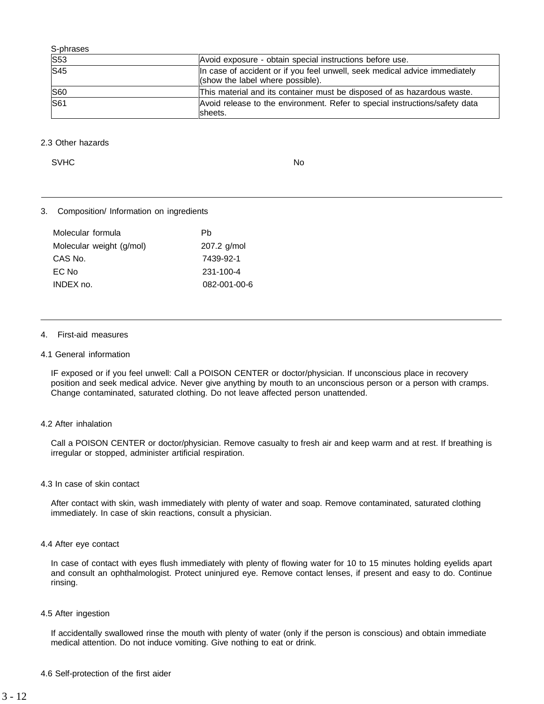| S-phrases  |                                                                                                                |
|------------|----------------------------------------------------------------------------------------------------------------|
| <b>S53</b> | Avoid exposure - obtain special instructions before use.                                                       |
| S45        | In case of accident or if you feel unwell, seek medical advice immediately<br>(show the label where possible). |
| <b>S60</b> | This material and its container must be disposed of as hazardous waste.                                        |
| <b>S61</b> | Avoid release to the environment. Refer to special instructions/safety data<br>sheets.                         |

#### 2.3 Other hazards

SVHC No. 2006. In the set of the set of the set of the set of the set of the set of the set of the set of the set of the set of the set of the set of the set of the set of the set of the set of the set of the set of the se

## 3. Composition/ Information on ingredients

| Molecular formula        | Ph           |
|--------------------------|--------------|
| Molecular weight (g/mol) | 207.2 g/mol  |
| CAS No.                  | 7439-92-1    |
| EC No                    | 231-100-4    |
| INDEX no.                | 082-001-00-6 |

#### 4. First-aid measures

#### 4.1 General information

IF exposed or if you feel unwell: Call a POISON CENTER or doctor/physician. If unconscious place in recovery position and seek medical advice. Never give anything by mouth to an unconscious person or a person with cramps. Change contaminated, saturated clothing. Do not leave affected person unattended.

#### 4.2 After inhalation

Call a POISON CENTER or doctor/physician. Remove casualty to fresh air and keep warm and at rest. If breathing is irregular or stopped, administer artificial respiration.

#### 4.3 In case of skin contact

After contact with skin, wash immediately with plenty of water and soap. Remove contaminated, saturated clothing immediately. In case of skin reactions, consult a physician.

#### 4.4 After eye contact

In case of contact with eyes flush immediately with plenty of flowing water for 10 to 15 minutes holding eyelids apart and consult an ophthalmologist. Protect uninjured eye. Remove contact lenses, if present and easy to do. Continue rinsing.

#### 4.5 After ingestion

If accidentally swallowed rinse the mouth with plenty of water (only if the person is conscious) and obtain immediate medical attention. Do not induce vomiting. Give nothing to eat or drink.

4.6 Self-protection of the first aider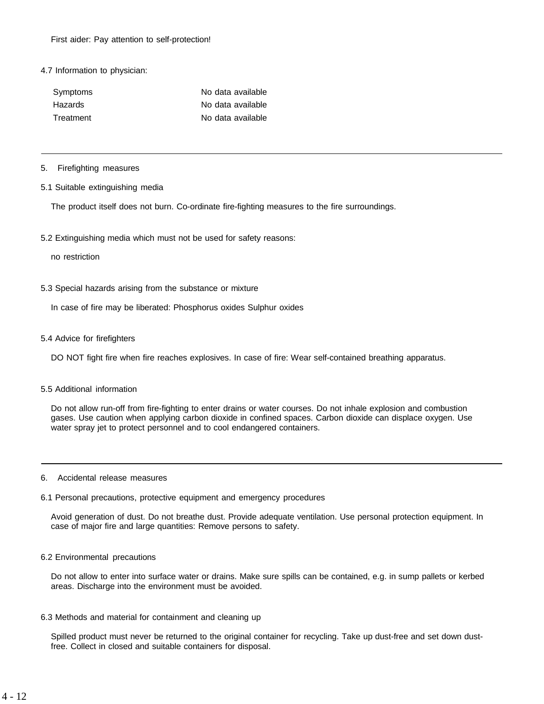### 4.7 Information to physician:

| Symptoms  | No data available |
|-----------|-------------------|
| Hazards   | No data available |
| Treatment | No data available |

#### 5. Firefighting measures

#### 5.1 Suitable extinguishing media

The product itself does not burn. Co-ordinate fire-fighting measures to the fire surroundings.

5.2 Extinguishing media which must not be used for safety reasons:

no restriction

5.3 Special hazards arising from the substance or mixture

In case of fire may be liberated: Phosphorus oxides Sulphur oxides

5.4 Advice for firefighters

DO NOT fight fire when fire reaches explosives. In case of fire: Wear self-contained breathing apparatus.

#### 5.5 Additional information

Do not allow run-off from fire-fighting to enter drains or water courses. Do not inhale explosion and combustion gases. Use caution when applying carbon dioxide in confined spaces. Carbon dioxide can displace oxygen. Use water spray jet to protect personnel and to cool endangered containers.

#### 6. Accidental release measures

#### 6.1 Personal precautions, protective equipment and emergency procedures

Avoid generation of dust. Do not breathe dust. Provide adequate ventilation. Use personal protection equipment. In case of major fire and large quantities: Remove persons to safety.

#### 6.2 Environmental precautions

Do not allow to enter into surface water or drains. Make sure spills can be contained, e.g. in sump pallets or kerbed areas. Discharge into the environment must be avoided.

6.3 Methods and material for containment and cleaning up

Spilled product must never be returned to the original container for recycling. Take up dust-free and set down dustfree. Collect in closed and suitable containers for disposal.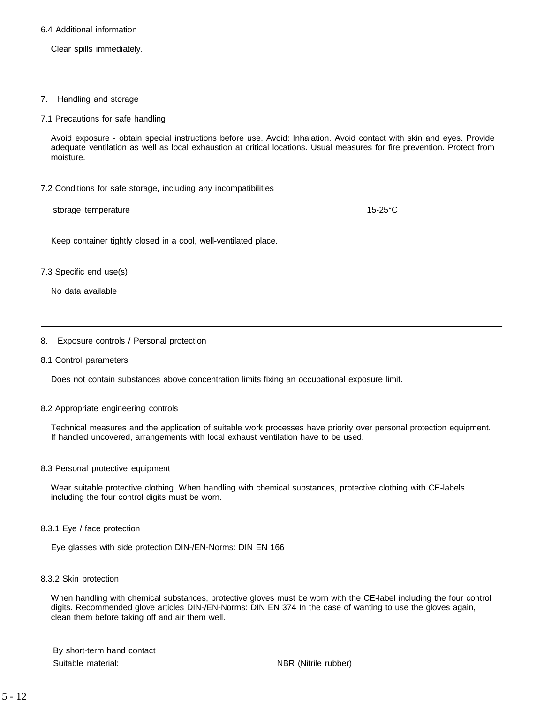#### 6.4 Additional information

Clear spills immediately.

#### 7. Handling and storage

7.1 Precautions for safe handling

Avoid exposure - obtain special instructions before use. Avoid: Inhalation. Avoid contact with skin and eyes. Provide adequate ventilation as well as local exhaustion at critical locations. Usual measures for fire prevention. Protect from moisture.

#### 7.2 Conditions for safe storage, including any incompatibilities

storage temperature 15-25°C

Keep container tightly closed in a cool, well-ventilated place.

#### 7.3 Specific end use(s)

No data available

#### 8. Exposure controls / Personal protection

#### 8.1 Control parameters

Does not contain substances above concentration limits fixing an occupational exposure limit.

#### 8.2 Appropriate engineering controls

Technical measures and the application of suitable work processes have priority over personal protection equipment. If handled uncovered, arrangements with local exhaust ventilation have to be used.

#### 8.3 Personal protective equipment

Wear suitable protective clothing. When handling with chemical substances, protective clothing with CE-labels including the four control digits must be worn.

8.3.1 Eye / face protection

Eye glasses with side protection DIN-/EN-Norms: DIN EN 166

8.3.2 Skin protection

When handling with chemical substances, protective gloves must be worn with the CE-label including the four control digits. Recommended glove articles DIN-/EN-Norms: DIN EN 374 In the case of wanting to use the gloves again, clean them before taking off and air them well.

By short-term hand contact Suitable material: NBR (Nitrile rubber)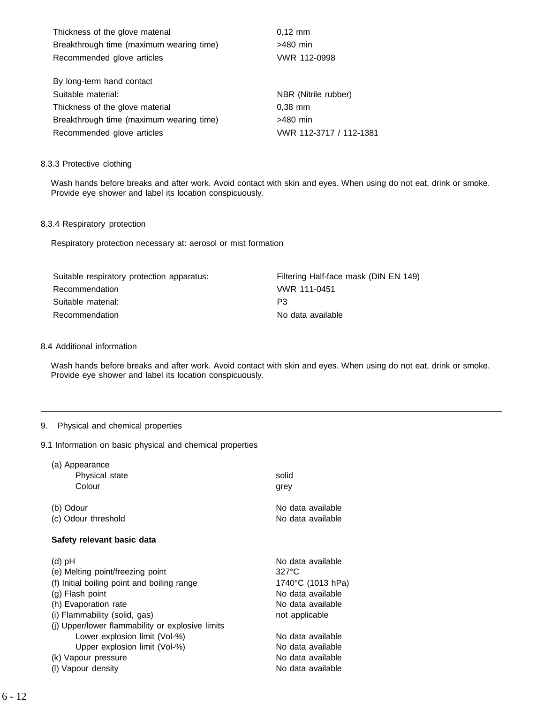| Thickness of the glove material          | $0.12 \, \text{mm}$     |
|------------------------------------------|-------------------------|
| Breakthrough time (maximum wearing time) | $>480$ min              |
| Recommended glove articles               | VWR 112-0998            |
|                                          |                         |
| By long-term hand contact                |                         |
| Suitable material:                       | NBR (Nitrile rubber)    |
| Thickness of the glove material          | $0.38$ mm               |
| Breakthrough time (maximum wearing time) | >480 min                |
| Recommended glove articles               | VWR 112-3717 / 112-1381 |

#### 8.3.3 Protective clothing

Wash hands before breaks and after work. Avoid contact with skin and eyes. When using do not eat, drink or smoke. Provide eye shower and label its location conspicuously.

## 8.3.4 Respiratory protection

Respiratory protection necessary at: aerosol or mist formation

| Suitable respiratory protection apparatus: | Filtering Half-face mask (DIN EN 149) |
|--------------------------------------------|---------------------------------------|
| Recommendation                             | VWR 111-0451                          |
| Suitable material:                         | P3                                    |
| Recommendation                             | No data available                     |

## 8.4 Additional information

Wash hands before breaks and after work. Avoid contact with skin and eyes. When using do not eat, drink or smoke. Provide eye shower and label its location conspicuously.

# 9. Physical and chemical properties

9.1 Information on basic physical and chemical properties

| (a) Appearance<br>Physical state<br>Colour                                                                                                                                                                                  | solid<br>grey                                                                                                       |
|-----------------------------------------------------------------------------------------------------------------------------------------------------------------------------------------------------------------------------|---------------------------------------------------------------------------------------------------------------------|
| (b) Odour<br>(c) Odour threshold                                                                                                                                                                                            | No data available<br>No data available                                                                              |
| Safety relevant basic data                                                                                                                                                                                                  |                                                                                                                     |
| $(d)$ pH<br>(e) Melting point/freezing point<br>(f) Initial boiling point and boiling range<br>(g) Flash point<br>(h) Evaporation rate<br>(i) Flammability (solid, gas)<br>(j) Upper/lower flammability or explosive limits | No data available<br>$327^\circ C$<br>1740°C (1013 hPa)<br>No data available<br>No data available<br>not applicable |
| Lower explosion limit (Vol-%)<br>Upper explosion limit (Vol-%)<br>(k) Vapour pressure<br>(I) Vapour density                                                                                                                 | No data available<br>No data available<br>No data available<br>No data available                                    |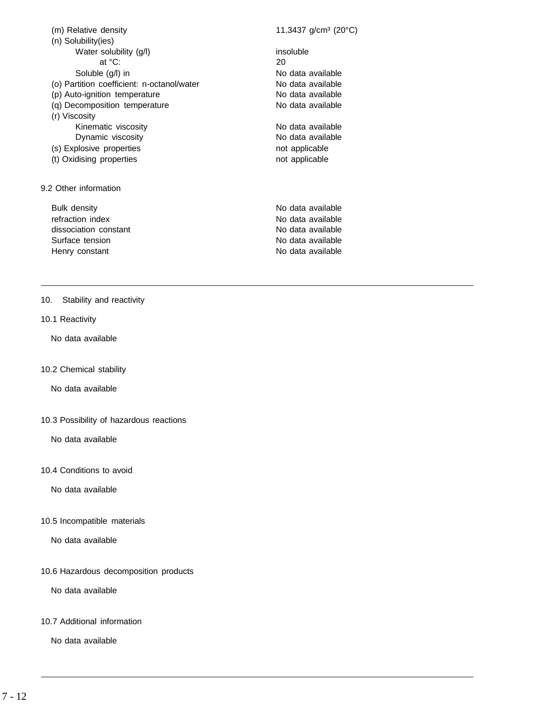| (m) Relative density                       | 11.3437 g/cm <sup>3</sup> (20 $^{\circ}$ C) |
|--------------------------------------------|---------------------------------------------|
| (n) Solubility(ies)                        |                                             |
| Water solubility (g/l)                     | insoluble                                   |
| at °C:                                     | 20                                          |
| Soluble (g/l) in                           | No data available                           |
| (o) Partition coefficient: n-octanol/water | No data available                           |
| (p) Auto-ignition temperature              | No data available                           |
| (q) Decomposition temperature              | No data available                           |
| (r) Viscosity                              |                                             |
| Kinematic viscosity                        | No data available                           |
| Dynamic viscosity                          | No data available                           |
| (s) Explosive properties                   | not applicable                              |
| (t) Oxidising properties                   | not applicable                              |
|                                            |                                             |
|                                            |                                             |
| 9.2 Other information                      |                                             |
| Bulk density                               | No data available                           |
| refraction index                           | No data available                           |
| dissociation constant                      | No data available                           |
| Surface tension                            | No data available                           |
| Henry constant                             | No data available                           |
|                                            |                                             |
|                                            |                                             |

- 10. Stability and reactivity
- 10.1 Reactivity

No data available

10.2 Chemical stability

No data available

10.3 Possibility of hazardous reactions

No data available

10.4 Conditions to avoid

No data available

10.5 Incompatible materials

No data available

10.6 Hazardous decomposition products

No data available

10.7 Additional information

No data available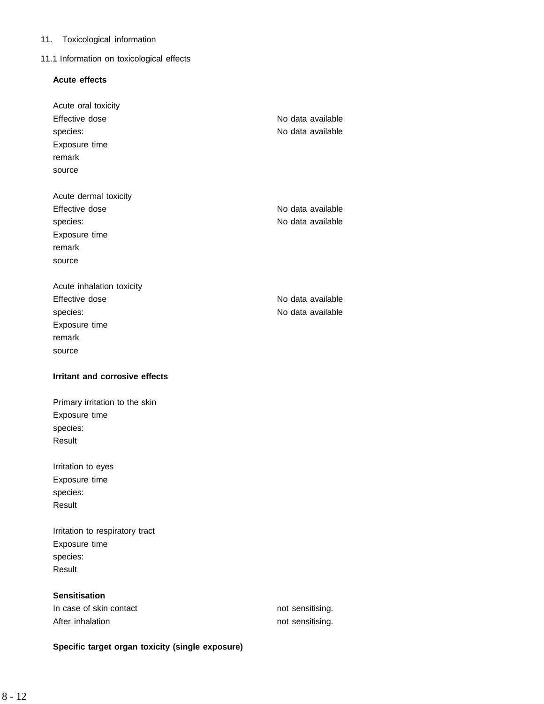# 11. Toxicological information

# 11.1 Information on toxicological effects

# **Acute effects**

| Acute oral toxicity                             |                                      |
|-------------------------------------------------|--------------------------------------|
| Effective dose                                  | No data available                    |
| species:                                        | No data available                    |
| Exposure time                                   |                                      |
| remark                                          |                                      |
| source                                          |                                      |
|                                                 |                                      |
| Acute dermal toxicity                           |                                      |
| Effective dose                                  | No data available                    |
| species:                                        | No data available                    |
| Exposure time                                   |                                      |
| remark                                          |                                      |
| source                                          |                                      |
|                                                 |                                      |
| Acute inhalation toxicity                       |                                      |
| Effective dose                                  | No data available                    |
| species:                                        | No data available                    |
| Exposure time                                   |                                      |
| remark                                          |                                      |
| source                                          |                                      |
|                                                 |                                      |
| Irritant and corrosive effects                  |                                      |
|                                                 |                                      |
| Primary irritation to the skin                  |                                      |
| Exposure time                                   |                                      |
| species:<br>Result                              |                                      |
|                                                 |                                      |
| Irritation to eyes                              |                                      |
| Exposure time                                   |                                      |
| species:                                        |                                      |
| Result                                          |                                      |
|                                                 |                                      |
| Irritation to respiratory tract                 |                                      |
| Exposure time                                   |                                      |
| species:                                        |                                      |
| Result                                          |                                      |
|                                                 |                                      |
| <b>Sensitisation</b><br>In case of skin contact |                                      |
| After inhalation                                | not sensitising.<br>not sensitising. |

**Specific target organ toxicity (single exposure)**

# 8 - 12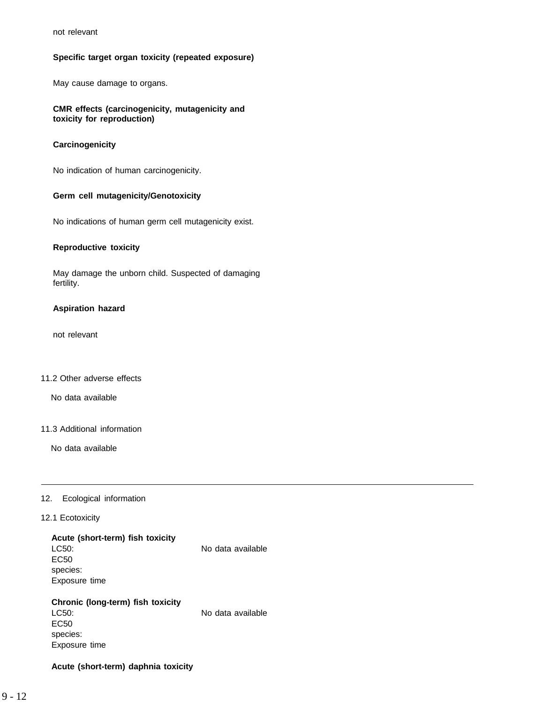not relevant

## **Specific target organ toxicity (repeated exposure)**

May cause damage to organs.

## **CMR effects (carcinogenicity, mutagenicity and toxicity for reproduction)**

#### **Carcinogenicity**

No indication of human carcinogenicity.

#### **Germ cell mutagenicity/Genotoxicity**

No indications of human germ cell mutagenicity exist.

#### **Reproductive toxicity**

May damage the unborn child. Suspected of damaging fertility.

#### **Aspiration hazard**

not relevant

#### 11.2 Other adverse effects

No data available

#### 11.3 Additional information

No data available

## 12. Ecological information

#### 12.1 Ecotoxicity

species: Exposure time

| Acute (short-term) fish toxicity  |                   |
|-----------------------------------|-------------------|
| LC50:                             | No data available |
| EC <sub>50</sub>                  |                   |
| species:                          |                   |
| Exposure time                     |                   |
|                                   |                   |
| Chronic (long-term) fish toxicity |                   |
| LC50:                             | No data available |
| EC50                              |                   |

**Acute (short-term) daphnia toxicity**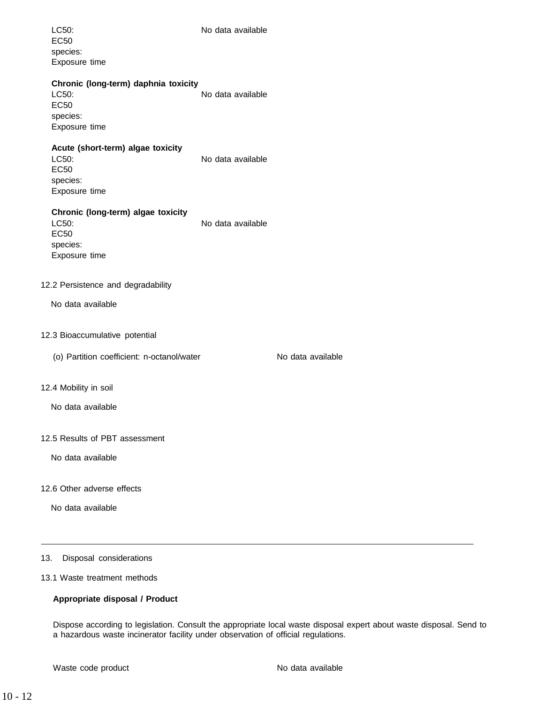| LC50:<br><b>EC50</b><br>species:<br>Exposure time                                         | No data available |                   |
|-------------------------------------------------------------------------------------------|-------------------|-------------------|
| Chronic (long-term) daphnia toxicity<br>LC50:<br><b>EC50</b><br>species:<br>Exposure time | No data available |                   |
| Acute (short-term) algae toxicity<br>LC50:<br><b>EC50</b><br>species:<br>Exposure time    | No data available |                   |
| Chronic (long-term) algae toxicity<br>LC50:<br><b>EC50</b><br>species:<br>Exposure time   | No data available |                   |
| 12.2 Persistence and degradability                                                        |                   |                   |
| No data available                                                                         |                   |                   |
| 12.3 Bioaccumulative potential                                                            |                   |                   |
| (o) Partition coefficient: n-octanol/water                                                |                   | No data available |
| 12.4 Mobility in soil                                                                     |                   |                   |
| No data available                                                                         |                   |                   |
| 12.5 Results of PBT assessment                                                            |                   |                   |
| No data available                                                                         |                   |                   |
| 12.6 Other adverse effects<br>No data available                                           |                   |                   |
| Disposal considerations<br>13.                                                            |                   |                   |

13.1 Waste treatment methods

# **Appropriate disposal / Product**

Dispose according to legislation. Consult the appropriate local waste disposal expert about waste disposal. Send to a hazardous waste incinerator facility under observation of official regulations.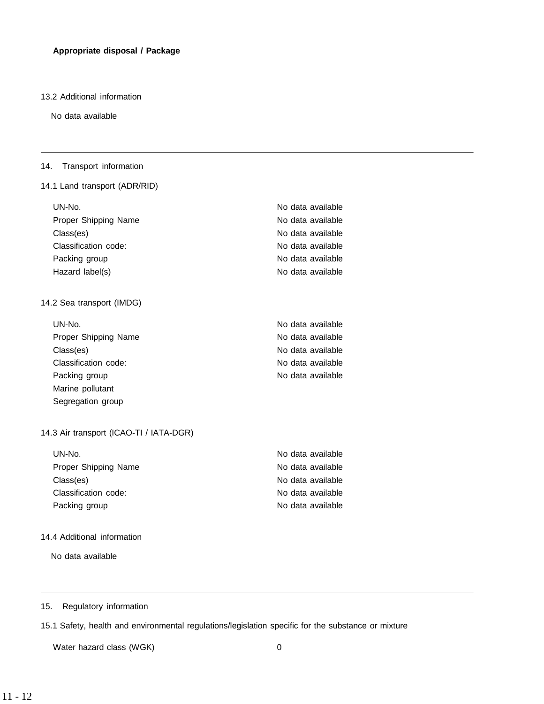#### 13.2 Additional information

No data available

## 14. Transport information

## 14.1 Land transport (ADR/RID)

| UN-No.               | No data available |
|----------------------|-------------------|
| Proper Shipping Name | No data available |
| Class(es)            | No data available |
| Classification code: | No data available |
| Packing group        | No data available |
| Hazard label(s)      | No data available |

## 14.2 Sea transport (IMDG)

| UN-No.               | No data available |
|----------------------|-------------------|
| Proper Shipping Name | No data available |
| Class(es)            | No data available |
| Classification code: | No data available |
| Packing group        | No data available |
| Marine pollutant     |                   |
| Segregation group    |                   |

## 14.3 Air transport (ICAO-TI / IATA-DGR)

| UN-No.               | No data available |
|----------------------|-------------------|
| Proper Shipping Name | No data available |
| Class(es)            | No data available |
| Classification code: | No data available |
| Packing group        | No data available |

## 14.4 Additional information

No data available

# 15. Regulatory information

15.1 Safety, health and environmental regulations/legislation specific for the substance or mixture

Water hazard class (WGK) 0